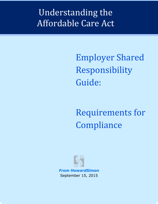## Understanding the Affordable Care Act

Employer Shared Responsibility Guide:

Requirements for Compliance

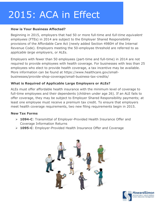# 2015: ACA in Effect

#### **How is Your Business Affected?**

Beginning in 2015, employers that had 50 or more full-time and *full-time equivalent employees* (FTEs) in 2014 are subject to the Employer Shared Responsibility provisions of the Affordable Care Act (newly added Section 4980H of the Internal Revenue Code). Employers meeting the 50-employee threshold are referred to as *applicable large employers*, or ALEs.

Employers with fewer than 50 employees (part-time and full-time) in 2014 are not required to provide employees with health coverage. For businesses with less than 25 employees who elect to provide health coverage, a tax incentive may be available. More information can be found at https://www.healthcare.gov/smallbusinesses/provide-shop-coverage/small-business-tax-credits/

#### **What is Required of Applicable Large Employers or ALEs?**

ALEs must offer affordable health insurance with the minimum level of coverage to full-time employees and their dependents (children under age 26). If an ALE fails to offer coverage, they may be subject to Employer Shared Responsibility payments; at least one employee must receive a premium tax credit. To ensure that employers meet health coverage requirements, two new filing requirements begin in 2015.

#### **New Tax Forms**

- **1094-C**: Transmittal of Employer-Provided Health Insurance Offer and Coverage Information Returns
- **1095-C**: Employer-Provided Health Insurance Offer and Coverage



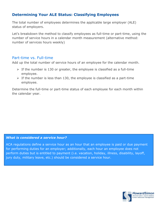## **Determining Your ALE Status: Classifying Employees**

The total number of employees determines the applicable large employer (ALE) status of employers.

Let's breakdown the method to classify employees as full-time or part-time, using the number of service hours in a calendar month measurement (alternative method: number of services hours weekly)

#### Part-time vs. Full-time

Add up the total number of service hours of an employee for the calendar month.

- $\triangleright$  If the number is 130 or greater, the employee is classified as a full-time employee.
- $\triangleright$  If the number is less than 130, the employee is classified as a part-time employee.

Determine the full-time or part-time status of each employee for each month within the calendar year.

#### *What is considered a service hour?*

ACA regulations define a service hour as an hour that an employee is paid or due payment for performing duties for an employer; additionally, each hour an employee does not perform duties but is entitled to payment (i.e. vacation, holiday, illness, disability, layoff, jury duty, military leave, etc.) should be considered a service hour.

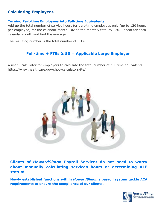## **Calculating Employees**

#### **Turning Part-time Employees into Full-time Equivalents**

Add up the total number of service hours for part-time employees only (up to 120 hours per employee) for the calendar month. Divide the monthly total by 120. Repeat for each calendar month and find the average.

The resulting number is the total number of FTEs.

### **Full-time + FTEs ≥ 50 = Applicable Large Employer**

A useful calculator for employers to calculate the total number of full-time equivalents: <https://www.healthcare.gov/shop-calculators-fte/>



**Clients of** *HowardSimon* **Payroll Services do not need to worry about manually calculating services hours or determining ALE status!**

**Newly established functions within** *HowardSimon***'s payroll system tackle ACA requirements to ensure the compliance of our clients.** 

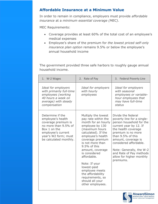## **Affordable Insurance at a Minimum Value**

In order to remain in compliance, employers must provide *affordable insurance* at a *minimum essential coverage (MEC)*.

MEC Requirements:

- Coverage provides at least 60% of the total cost of an employee's medical expenses
- Employee's share of the premium for *the lowest priced self-only insurance plan option* remains 9.5% or below the employee's annual household income

The government provided three safe harbors to roughly gauge annual household income.

| 1. W-2 Wages                                                                                                                                                                 | 2. Rate of Pay                                                                                                                                                                                                                                                                                                                                                                                   | 3. Federal Poverty Line                                                                                                                                                                                                                                                                                                   |
|------------------------------------------------------------------------------------------------------------------------------------------------------------------------------|--------------------------------------------------------------------------------------------------------------------------------------------------------------------------------------------------------------------------------------------------------------------------------------------------------------------------------------------------------------------------------------------------|---------------------------------------------------------------------------------------------------------------------------------------------------------------------------------------------------------------------------------------------------------------------------------------------------------------------------|
| Ideal for employers<br>with primarily full-time<br>employees (working<br>40 hours a week on<br>average) with steady<br>compensation                                          | Ideal for employers<br>with hourly<br>employees                                                                                                                                                                                                                                                                                                                                                  | Ideal for employers<br>with seasonal<br>employees or variable-<br>hour employees that<br>may have full-time<br>status                                                                                                                                                                                                     |
| Determine if the<br>employee's health<br>coverage premium is<br>no more than 9.5% of<br>Box 1 on the<br>employee's current<br>year's W2 form; must<br>be calculated monthly. | Multiply the lowest<br>pay rate within the<br>month for an hourly<br>employee by 130<br>(maximum hours<br>calculated). If the<br>employee's health<br>coverage premium<br>is not more than<br>9.5% of this<br>amount, coverage<br>is considered<br>affordable.<br>Note: If your<br>lowest-paid<br>employee meets<br>the affordability<br>requirements, so<br>should all your<br>other employees. | Divide the federal<br>poverty line for a single-<br>person household for the<br>current year by 12. If<br>the health coverage<br>premium is no more<br>than 9.5% of this<br>amount, coverage is<br>considered affordable.<br>Note: Generally, the W-2<br>and Rate of Pay methods<br>allow for higher monthly<br>premiums. |

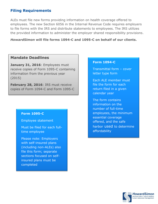## **Filing Requirements**

ALEs must file new forms providing information on health coverage offered to employees. The new Section 6056 in the Internal Revenue Code requires employers to file forms with the IRS and distribute statements to employees. The IRS utilizes the provided information to administer the employer shared responsibility provisions.

#### *HowardSimon* **will file forms 1094-C and 1095-C on behalf of our clients.**

#### **Mandate Deadlines**

**January 31, 2016**: Employees must receive copies of Form 1095-C containing information from the previous year (2015)

**February 28, 2016**: IRS must receive copies of Form 1094-C and Form 1095-C

#### **Form 1095-C**

Employee statement

Must be filed for each fulltime employee

Please note: Employers with self-insured plans (including non-ALEs) also file this form; separate sections focused on selfinsured plans must be completed

#### **Form 1094-C**

Transmittal form – cover letter type form

Each ALE member must file the form for each return filed in a given calendar year

The form contains information on the number of full-time employees, the minimum essential coverage offered, and the safe harbor used to determine affordability

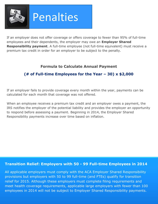

If an employer does not offer coverage or offers coverage to fewer than 95% of full-time employees and their dependents, the employer may owe an **Employer Shared Responsibility payment**. A full-time employee (not full-time equivalent) must receive a premium tax credit in order for an employer to be subject to the penalty.

## **Formula to Calculate Annual Payment**

## **(# of Full-time Employees for the Year – 30) x \$2,000**

If an employer fails to provide coverage every month within the year, payments can be calculated for each month that coverage was not offered.

When an employee receives a premium tax credit and an employer owes a payment, the IRS notifies the employer of the potential liability and provides the employer an opportunity to respond before assessing a payment. Beginning in 2014, the Employer Shared Responsibility payments increase over time based on inflation.

#### **Transition Relief: Employers with 50 - 99 Full-time Employees in 2014**

All applicable employers must comply with the ACA Employer Shared Responsibility provisions but employers with 50 to 99 full-time (and FTEs) qualify for transition relief for 2015. Although these employers must complete filing requirements and meet health coverage requirements, applicable large employers with fewer than 100 employees in 2014 will not be subject to Employer Shared Responsibility payments.